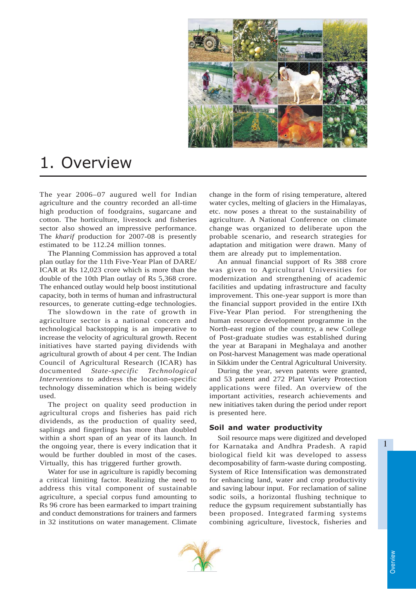

# 1. Overview

The year 2006–07 augured well for Indian agriculture and the country recorded an all-time high production of foodgrains, sugarcane and cotton. The horticulture, livestock and fisheries sector also showed an impressive performance. The *kharif* production for 2007-08 is presently estimated to be 112.24 million tonnes.

The Planning Commission has approved a total plan outlay for the 11th Five-Year Plan of DARE/ ICAR at Rs 12,023 crore which is more than the double of the 10th Plan outlay of Rs 5,368 crore. The enhanced outlay would help boost institutional capacity, both in terms of human and infrastructural resources, to generate cutting-edge technologies.

The slowdown in the rate of growth in agriculture sector is a national concern and technological backstopping is an imperative to increase the velocity of agricultural growth. Recent initiatives have started paying dividends with agricultural growth of about 4 per cent. The Indian Council of Agricultural Research (ICAR) has documented *State-specific Technological Interventions* to address the location-specific technology dissemination which is being widely used.

The project on quality seed production in agricultural crops and fisheries has paid rich dividends, as the production of quality seed, saplings and fingerlings has more than doubled within a short span of an year of its launch. In the ongoing year, there is every indication that it would be further doubled in most of the cases. Virtually, this has triggered further growth.

Water for use in agriculture is rapidly becoming a critical limiting factor. Realizing the need to address this vital component of sustainable agriculture, a special corpus fund amounting to Rs 96 crore has been earmarked to impart training and conduct demonstrations for trainers and farmers in 32 institutions on water management. Climate

change in the form of rising temperature, altered water cycles, melting of glaciers in the Himalayas, etc. now poses a threat to the sustainability of agriculture. A National Conference on climate change was organized to deliberate upon the probable scenario, and research strategies for adaptation and mitigation were drawn. Many of them are already put to implementation.

An annual financial support of Rs 388 crore was given to Agricultural Universities for modernization and strengthening of academic facilities and updating infrastructure and faculty improvement. This one-year support is more than the financial support provided in the entire IXth Five-Year Plan period. For strengthening the human resource development programme in the North-east region of the country, a new College of Post-graduate studies was established during the year at Barapani in Meghalaya and another on Post-harvest Management was made operational in Sikkim under the Central Agricultural University.

During the year, seven patents were granted, and 53 patent and 272 Plant Variety Protection applications were filed. An overview of the important activities, research achievements and new initiatives taken during the period under report is presented here.

#### Soil and water productivity

Soil resource maps were digitized and developed for Karnataka and Andhra Pradesh. A rapid biological field kit was developed to assess decomposability of farm-waste during composting. System of Rice Intensification was demonstrated for enhancing land, water and crop productivity and saving labour input. For reclamation of saline sodic soils, a horizontal flushing technique to reduce the gypsum requirement substantially has been proposed. Integrated farming systems combining agriculture, livestock, fisheries and

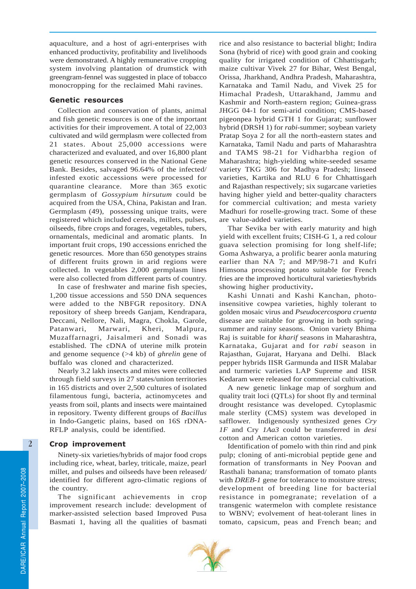aquaculture, and a host of agri-enterprises with enhanced productivity, profitability and livelihoods were demonstrated. A highly remunerative cropping system involving plantation of drumstick with greengram-fennel was suggested in place of tobacco monocropping for the reclaimed Mahi ravines.

#### Genetic resources

Collection and conservation of plants, animal and fish genetic resources is one of the important activities for their improvement. A total of 22,003 cultivated and wild germplasm were collected from 21 states. About 25,000 accessions were characterized and evaluated, and over 16,800 plant genetic resources conserved in the National Gene Bank. Besides, salvaged 96.64% of the infected/ infested exotic accessions were processed for quarantine clearance. More than 365 exotic germplasm of *Gossypium hirsutum* could be acquired from the USA, China, Pakistan and Iran. Germplasm (49), possessing unique traits, were registered which included cereals, millets, pulses, oilseeds, fibre crops and forages, vegetables, tubers, ornamentals, medicinal and aromatic plants. In important fruit crops, 190 accessions enriched the genetic resources. More than 650 genotypes strains of different fruits grown in arid regions were collected. In vegetables 2,000 germplasm lines were also collected from different parts of country.

In case of freshwater and marine fish species, 1,200 tissue accessions and 550 DNA sequences were added to the NBFGR repository. DNA repository of sheep breeds Ganjam, Kendrapara, Deccani, Nellore, Nali, Magra, Chokla, Garole, Patanwari, Marwari, Kheri, Malpura, Muzaffarnagri, Jaisalmeri and Sonadi was established. The cDNA of uterine milk protein and genome sequence (>4 kb) of *ghrelin* gene of buffalo was cloned and characterized.

Nearly 3.2 lakh insects and mites were collected through field surveys in 27 states/union territories in 165 districts and over 2,500 cultures of isolated filamentous fungi, bacteria, actinomycetes and yeasts from soil, plants and insects were maintained in repository. Twenty different groups of *Bacillus* in Indo-Gangetic plains, based on 16S rDNA-RFLP analysis, could be identified.

## Crop improvement

Ninety-six varieties/hybrids of major food crops including rice, wheat, barley, triticale, maize, pearl millet, and pulses and oilseeds have been released/ identified for different agro-climatic regions of the country.

The significant achievements in crop improvement research include: development of marker-assisted selection based Improved Pusa Basmati 1, having all the qualities of basmati rice and also resistance to bacterial blight; Indira Sona (hybrid of rice) with good grain and cooking quality for irrigated condition of Chhattisgarh; maize cultivar Vivek 27 for Bihar, West Bengal, Orissa, Jharkhand, Andhra Pradesh, Maharashtra, Karnataka and Tamil Nadu, and Vivek 25 for Himachal Pradesh, Uttarakhand, Jammu and Kashmir and North-eastern region; Guinea-grass JHGG 04-1 for semi-arid condition; CMS-based pigeonpea hybrid GTH 1 for Gujarat; sunflower hybrid (DRSH 1) for *rabi*-summer; soybean variety Pratap Soya 2 for all the north-eastern states and Karnataka, Tamil Nadu and parts of Maharashtra and TAMS 98-21 for Vidharbha region of Maharashtra; high-yielding white-seeded sesame variety TKG 306 for Madhya Pradesh; linseed varieties, Kartika and RLU 6 for Chhattisgarh and Rajasthan respectively; six sugarcane varieties having higher yield and better-quality characters for commercial cultivation; and mesta variety Madhuri for roselle-growing tract. Some of these are value-added varieties.

Thar Sevika ber with early maturity and high yield with excellent fruits; CISH-G 1, a red colour guava selection promising for long shelf-life; Goma Ashwarya, a prolific bearer aonla maturing earlier than NA 7; and MP/98-71 and Kufri Himsona processing potato suitable for French fries are the improved horticultural varieties/hybrids showing higher productivity**.**

Kashi Unnati and Kashi Kanchan, photoinsensitive cowpea varieties, highly tolerant to golden mosaic virus and *Pseudocercospora cruenta* disease are suitable for growing in both springsummer and rainy seasons. Onion variety Bhima Raj is suitable for *kharif* seasons in Maharashtra, Karnataka, Gujarat and for *rabi* season in Rajasthan*,* Gujarat, Haryana and Delhi. Black pepper hybrids IISR Garmunda and IISR Malabar and turmeric varieties LAP Supreme and IISR Kedaram were released for commercial cultivation.

A new genetic linkage map of sorghum and quality trait loci (QTLs) for shoot fly and terminal drought resistance was developed. Cytoplasmic male sterlity (CMS) system was developed in safflower. Indigenously synthesized genes *Cry 1F* and Cry *1Aa3* could be transferred in *desi* cotton and American cotton varieties.

Identification of pomelo with thin rind and pink pulp; cloning of anti-microbial peptide gene and formation of transformants in Ney Poovan and Rasthali banana; transformation of tomato plants with *DREB-1* gene for tolerance to moisture stress; development of breeding line for bacterial resistance in pomegranate; revelation of a transgenic watermelon with complete resistance to WBNV; evolvement of heat-tolerant lines in tomato, capsicum, peas and French bean; and

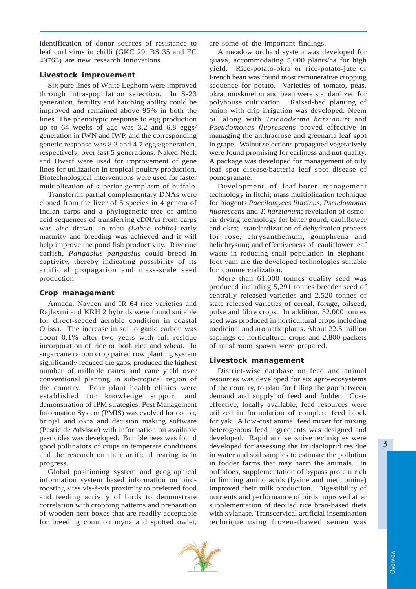identification of donor sources of resistance to leaf curl virus in chilli (GKC 29, BS 35 and EC 49763) are new research innovations.

## Livestock improvement

Six pure lines of White Leghorn were improved through intra-population selection. In S-23 generation, fertility and hatching ability could be improved and remained above 95% in both the lines. The phenotypic response to egg production up to 64 weeks of age was 3.2 and 6.8 eggs/ generation in IWN and IWP, and the corresponding genetic response was 8.3 and 4.7 eggs/generation, respectively, over last 5 generations. Naked Neck and Dwarf were used for improvement of gene lines for utilization in tropical poultry production. Biotechnological interventions were used for faster multiplication of superior germplasm of buffalo.

Transferrin partial complementary DNAs were cloned from the liver of 5 species in 4 genera of Indian carps and a phylogenetic tree of amino acid sequences of transferring cDNAs from carps was also drawn. In rohu *(Labeo rohita)* early maturity and breeding was achieved and it will help improve the pond fish productivity. Riverine catfish, *Pangasius pangasius* could breed in captivity, thereby indicating possibility of its artificial propagation and mass-scale seed production.

#### Crop management

Annada, Naveen and IR 64 rice varieties and Rajlaxmi and KRH 2 hybrids were found suitable for direct-seeded aerobic condition in coastal Orissa. The increase in soil organic carbon was about 0.1% after two years with full residue incorporation of rice or both rice and wheat. In sugarcane ratoon crop paired row planting system significantly reduced the gaps, produced the highest number of millable canes and cane yield over conventional planting in sub-tropical region of the country. Four plant health clinics were established for knowledge support and demonstration of IPM strategies. Pest Management Information System (PMIS) was evolved for cotton, brinjal and okra and decision making software (Pesticide Advisor) with information on available pesticides was developed. Bumble bees was found good pollinators of crops in temperate conditions and the research on their artificial rearing is in progress.

Global positioning system and geographical information system based information on birdroosting sites vis-à-vis proximity to preferred food and feeding activity of birds to demonstrate correlation with cropping patterns and preparation of wooden nest boxes that are readily acceptable for breeding common myna and spotted owlet,

are some of the important findings.

A meadow orchard system was developed for guava, accommodating 5,000 plants/ha for high yield. Rice-potato-okra or rice-potato-jute or French bean was found most remunerative cropping sequence for potato. Varieties of tomato, peas, okra, muskmelon and bean were standardized for polyhouse cultivation. Raised-bed planting of onion with drip irrigation was developed. Neem oil along with *Trichoderma harzianum* and *Pseudomonas fluorescens* proved effective in managing the anthracrose and greenaria leaf spot in grape. Walnut selections propagated vegetatively were found promising for earliness and nut quality. A package was developed for management of oily leaf spot disease/bacteria leaf spot disease of pomegranate.

Development of leaf-borer management technology in litchi; mass multiplication technique for biogents *Paecilomyces lilacinus, Pseudomonas fluorescens* and *T. harzianum*; revelation of osmoair drying technology for bitter gourd, cauliflower and okra; standardization of dehydration process for rose, chrysanthemum, gomphrena and helichrysum; and effectiveness of cauliflower leaf waste in reducing snail population in elephantfoot yam are the developed technologies suitable for commercialization.

More than 61,000 tonnes quality seed was produced including 5,291 tonnes breeder seed of centrally released varieties and 2,520 tonnes of state released varieties of cereal, forage, oilseed, pulse and fibre crops. In addition, 52,000 tonnes seed was produced in horticultural crops including medicinal and aromatic plants. About 22.5 million saplings of horticultural crops and 2,800 packets of mushroom spawn were prepared.

#### Livestock management

District-wise database on feed and animal resources was developed for six agro-ecosystems of the country, to plan for filling the gap between demand and supply of feed and fodder. Costeffective, locally available, feed resources were utilized in formulation of complete feed block for yak. A low-cost animal feed mixer for mixing heterogenous feed ingredients was designed and developed. Rapid and sensitive techniques were developed for assessing the Imidacloprid residue in water and soil samples to estimate the pollution in fodder farms that may harm the animals. In buffaloes, supplementation of bypass protein rich in limiting amino acids (lysine and methiomine) improved their milk production. Digestibility of nutrients and performance of birds improved after supplementation of deoiled rice bran-based diets with xylanase. Transcervical artificial insemination technique using frozen-thawed semen was

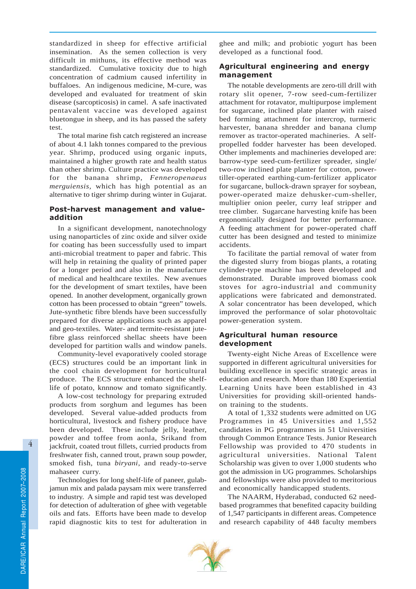standardized in sheep for effective artificial insemination. As the semen collection is very difficult in mithuns, its effective method was standardized. Cumulative toxicity due to high concentration of cadmium caused infertility in buffaloes. An indigenous medicine, M-cure, was developed and evaluated for treatment of skin disease (sarcopticosis) in camel. A safe inactivated pentavalent vaccine was developed against bluetongue in sheep, and its has passed the safety test.

The total marine fish catch registered an increase of about 4.1 lakh tonnes compared to the previous year. Shrimp, produced using organic inputs, maintained a higher growth rate and health status than other shrimp. Culture practice was developed for the banana shrimp, *Fenneropenaeus merguiensis,* which has high potential as an alternative to tiger shrimp during winter in Gujarat.

## Post-harvest management and valueaddition

In a significant development, nanotechnology using nanoparticles of zinc oxide and silver oxide for coating has been successfully used to impart anti-microbial treatment to paper and fabric. This will help in retaining the quality of printed paper for a longer period and also in the manufacture of medical and healthcare textiles. New avenues for the development of smart textiles, have been opened. In another development, organically grown cotton has been processed to obtain "green" towels. Jute-synthetic fibre blends have been successfully prepared for diverse applications such as apparel and geo-textiles. Water- and termite-resistant jutefibre glass reinforced shellac sheets have been developed for partition walls and window panels.

Community-level evaporatively cooled storage (ECS) structures could be an important link in the cool chain development for horticultural produce. The ECS structure enhanced the shelflife of potato, knnnow and tomato significantly.

A low-cost technology for preparing extruded products from sorghum and legumes has been developed. Several value-added products from horticultural, livestock and fishery produce have been developed. These include jelly, leather, powder and toffee from aonla, Srikand from jackfruit, coated trout fillets, curried products from freshwater fish, canned trout, prawn soup powder, smoked fish, tuna *biryani*, and ready-to-serve mahaseer curry.

Technologies for long shelf-life of paneer, gulabjamun mix and palada paysam mix were transferred to industry. A simple and rapid test was developed for detection of adulteration of ghee with vegetable oils and fats. Efforts have been made to develop rapid diagnostic kits to test for adulteration in ghee and milk; and probiotic yogurt has been developed as a functional food.

# Agricultural engineering and energy management

The notable developments are zero-till drill with rotary slit opener, 7-row seed-cum-fertilizer attachment for rotavator, multipurpose implement for sugarcane, inclined plate planter with raised bed forming attachment for intercrop, turmeric harvester, banana shredder and banana clump remover as tractor-operated machineries. A selfpropelled fodder harvester has been developed. Other implements and machineries developed are: barrow-type seed-cum-fertilizer spreader, single/ two-row inclined plate planter for cotton, powertiller-operated earthing-cum-fertilizer applicator for sugarcane, bullock-drawn sprayer for soybean, power-operated maize dehusker-cum-sheller, multiplier onion peeler, curry leaf stripper and tree climber. Sugarcane harvesting knife has been ergonomically designed for better performance. A feeding attachment for power-operated chaff cutter has been designed and tested to minimize accidents.

To facilitate the partial removal of water from the digested slurry from biogas plants, a rotating cylinder-type machine has been developed and demonstrated. Durable improved biomass cook stoves for agro-industrial and community applications were fabricated and demonstrated. A solar concentrator has been developed, which improved the performance of solar photovoltaic power-generation system.

## Agricultural human resource development

Twenty-eight Niche Areas of Excellence were supported in different agricultural universities for building excellence in specific strategic areas in education and research. More than 180 Experiential Learning Units have been established in 43 Universities for providing skill-oriented handson training to the students.

A total of 1,332 students were admitted on UG Programmes in 45 Universities and 1,552 candidates in PG programmes in 51 Universities through Common Entrance Tests. Junior Research Fellowship was provided to 470 students in agricultural universities. National Talent Scholarship was given to over 1,000 students who got the admission in UG programmes. Scholarships and fellowships were also provided to meritorious and economically handicapped students.

The NAARM, Hyderabad, conducted 62 needbased programmes that benefited capacity building of 1,547 participants in different areas. Competence and research capability of 448 faculty members

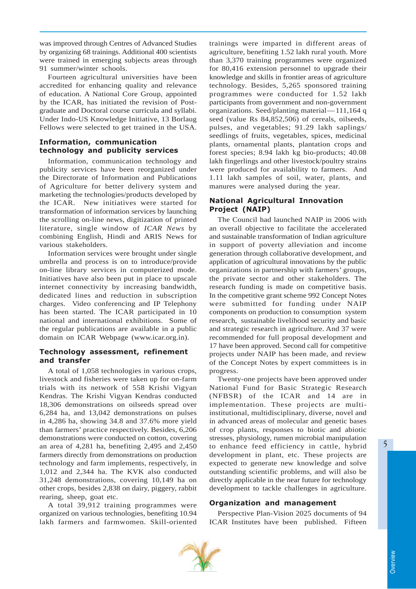was improved through Centres of Advanced Studies by organizing 68 trainings. Additional 400 scientists were trained in emerging subjects areas through 91 summer/winter schools.

Fourteen agricultural universities have been accredited for enhancing quality and relevance of education. A National Core Group, appointed by the ICAR, has initiated the revision of Postgraduate and Doctoral course curricula and syllabi. Under Indo-US Knowledge Initiative, 13 Borlaug Fellows were selected to get trained in the USA.

# Information, communication technology and publicity services

Information, communication technology and publicity services have been reorganized under the Directorate of Information and Publications of Agriculture for better delivery system and marketing the technologies/products developed by the ICAR. New initiatives were started for transformation of information services by launching the scrolling on-line news, digitization of printed literature, single window of *ICAR News* by combining English, Hindi and ARIS News for various stakeholders.

Information services were brought under single umbrella and process is on to introduce/provide on-line library services in computerized mode. Initiatives have also been put in place to upscale internet connectivity by increasing bandwidth, dedicated lines and reduction in subscription charges. Video conferencing and IP Telephony has been started. The ICAR participated in 10 national and international exhibitions. Some of the regular publications are available in a public domain on ICAR Webpage (www.icar.org.in).

## Technology assessment, refinement and transfer

A total of 1,058 technologies in various crops, livestock and fisheries were taken up for on-farm trials with its network of 558 Krishi Vigyan Kendras. The Krishi Vigyan Kendras conducted 18,306 demonstrations on oilseeds spread over 6,284 ha, and 13,042 demonstrations on pulses in 4,286 ha, showing 34.8 and 37.6% more yield than farmers' practice respectively. Besides, 6,206 demonstrations were conducted on cotton, covering an area of 4,281 ha, benefiting 2,495 and 2,450 farmers directly from demonstrations on production technology and farm implements, respectively, in 1,012 and 2,344 ha. The KVK also conducted 31,248 demonstrations, covering 10,149 ha on other crops, besides 2,838 on dairy, piggery, rabbit rearing, sheep, goat etc.

A total 39,912 training programmes were organized on various technologies, benefiting 10.94 lakh farmers and farmwomen. Skill-oriented trainings were imparted in different areas of agriculture, benefiting 1.52 lakh rural youth. More than 3,370 training programmes were organized for 80,416 extension personnel to upgrade their knowledge and skills in frontier areas of agriculture technology. Besides, 5,265 sponsored training programmes were conducted for 1.52 lakh participants from government and non-government organizations. Seed/planting material—111,164 q seed (value Rs 84,852,506) of cereals, oilseeds, pulses, and vegetables; 91.29 lakh saplings/ seedlings of fruits, vegetables, spices, medicinal plants, ornamental plants, plantation crops and forest species; 8.94 lakh kg bio-products; 40.08 lakh fingerlings and other livestock/poultry strains were produced for availability to farmers. And 1.11 lakh samples of soil, water, plants, and manures were analysed during the year.

# National Agricultural Innovation Project (NAIP)

The Council had launched NAIP in 2006 with an overall objective to facilitate the accelerated and sustainable transformation of Indian agriculture in support of poverty alleviation and income generation through collaborative development, and application of agricultural innovations by the public organizations in partnership with farmers' groups, the private sector and other stakeholders. The research funding is made on competitive basis. In the competitive grant scheme 992 Concept Notes were submitted for funding under NAIP components on production to consumption system research, sustainable livelihood security and basic and strategic research in agriculture. And 37 were recommended for full proposal development and 17 have been approved. Second call for competitive projects under NAIP has been made, and review of the Concept Notes by expert committees is in progress.

Twenty-one projects have been approved under National Fund for Basic Strategic Research (NFBSR) of the ICAR and 14 are in implementation. These projects are multiinstitutional, multidisciplinary, diverse, novel and in advanced areas of molecular and genetic bases of crop plants, responses to biotic and abiotic stresses, physiology, rumen microbial manipulation to enhance feed efficiency in cattle, hybrid development in plant, etc. These projects are expected to generate new knowledge and solve outstanding scientific problems, and will also be directly applicable in the near future for technology development to tackle challenges in agriculture.

## Organization and management

Perspective Plan-Vision 2025 documents of 94 ICAR Institutes have been published. Fifteen